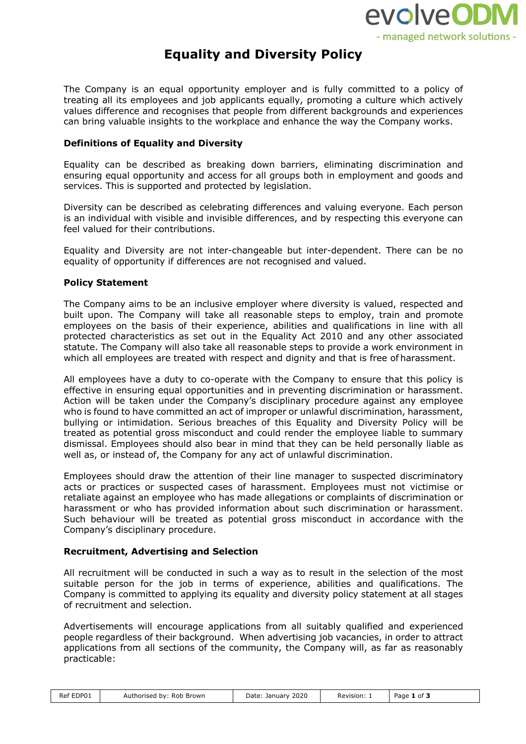

# **Equality and Diversity Policy**

The Company is an equal opportunity employer and is fully committed to a policy of treating all its employees and job applicants equally, promoting a culture which actively values difference and recognises that people from different backgrounds and experiences can bring valuable insights to the workplace and enhance the way the Company works.

## **Definitions of Equality and Diversity**

Equality can be described as breaking down barriers, eliminating discrimination and ensuring equal opportunity and access for all groups both in employment and goods and services. This is supported and protected by legislation.

Diversity can be described as celebrating differences and valuing everyone. Each person is an individual with visible and invisible differences, and by respecting this everyone can feel valued for their contributions.

Equality and Diversity are not inter-changeable but inter-dependent. There can be no equality of opportunity if differences are not recognised and valued.

### **Policy Statement**

The Company aims to be an inclusive employer where diversity is valued, respected and built upon. The Company will take all reasonable steps to employ, train and promote employees on the basis of their experience, abilities and qualifications in line with all protected characteristics as set out in the Equality Act 2010 and any other associated statute. The Company will also take all reasonable steps to provide a work environment in which all employees are treated with respect and dignity and that is free of harassment.

All employees have a duty to co-operate with the Company to ensure that this policy is effective in ensuring equal opportunities and in preventing discrimination or harassment. Action will be taken under the Company's disciplinary procedure against any employee who is found to have committed an act of improper or unlawful discrimination, harassment, bullying or intimidation. Serious breaches of this Equality and Diversity Policy will be treated as potential gross misconduct and could render the employee liable to summary dismissal. Employees should also bear in mind that they can be held personally liable as well as, or instead of, the Company for any act of unlawful discrimination.

Employees should draw the attention of their line manager to suspected discriminatory acts or practices or suspected cases of harassment. Employees must not victimise or retaliate against an employee who has made allegations or complaints of discrimination or harassment or who has provided information about such discrimination or harassment. Such behaviour will be treated as potential gross misconduct in accordance with the Company's disciplinary procedure.

### **Recruitment, Advertising and Selection**

All recruitment will be conducted in such a way as to result in the selection of the most suitable person for the job in terms of experience, abilities and qualifications. The Company is committed to applying its equality and diversity policy statement at all stages of recruitment and selection.

Advertisements will encourage applications from all suitably qualified and experienced people regardless of their background. When advertising job vacancies, in order to attract applications from all sections of the community, the Company will, as far as reasonably practicable:

| Ref EDP01 | Authorised by: Rob Brown | Date: January 2020<br>. | Revision: | Page 1 of 3 |  |
|-----------|--------------------------|-------------------------|-----------|-------------|--|
|-----------|--------------------------|-------------------------|-----------|-------------|--|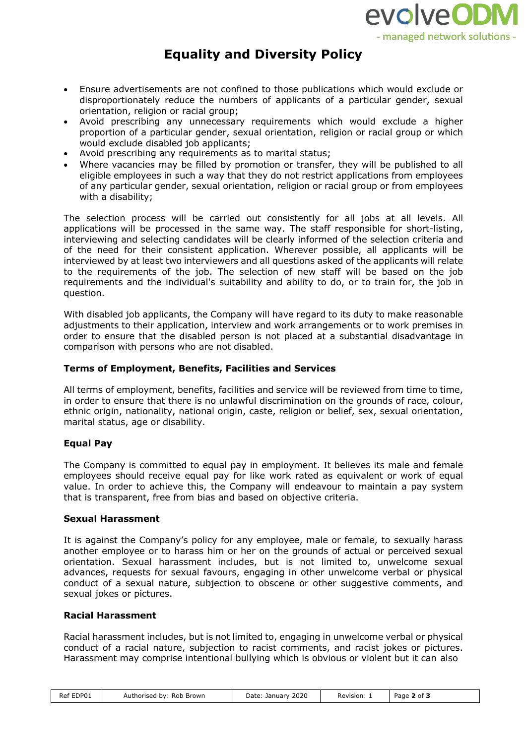

# **Equality and Diversity Policy**

- Ensure advertisements are not confined to those publications which would exclude or disproportionately reduce the numbers of applicants of a particular gender, sexual orientation, religion or racial group;
- Avoid prescribing any unnecessary requirements which would exclude a higher proportion of a particular gender, sexual orientation, religion or racial group or which would exclude disabled job applicants;
- Avoid prescribing any requirements as to marital status;
- Where vacancies may be filled by promotion or transfer, they will be published to all eligible employees in such a way that they do not restrict applications from employees of any particular gender, sexual orientation, religion or racial group or from employees with a disability;

The selection process will be carried out consistently for all jobs at all levels. All applications will be processed in the same way. The staff responsible for short-listing, interviewing and selecting candidates will be clearly informed of the selection criteria and of the need for their consistent application. Wherever possible, all applicants will be interviewed by at least two interviewers and all questions asked of the applicants will relate to the requirements of the job. The selection of new staff will be based on the job requirements and the individual's suitability and ability to do, or to train for, the job in question.

With disabled job applicants, the Company will have regard to its duty to make reasonable adjustments to their application, interview and work arrangements or to work premises in order to ensure that the disabled person is not placed at a substantial disadvantage in comparison with persons who are not disabled.

## **Terms of Employment, Benefits, Facilities and Services**

All terms of employment, benefits, facilities and service will be reviewed from time to time, in order to ensure that there is no unlawful discrimination on the grounds of race, colour, ethnic origin, nationality, national origin, caste, religion or belief, sex, sexual orientation, marital status, age or disability.

## **Equal Pay**

The Company is committed to equal pay in employment. It believes its male and female employees should receive equal pay for like work rated as equivalent or work of equal value. In order to achieve this, the Company will endeavour to maintain a pay system that is transparent, free from bias and based on objective criteria.

### **Sexual Harassment**

It is against the Company's policy for any employee, male or female, to sexually harass another employee or to harass him or her on the grounds of actual or perceived sexual orientation. Sexual harassment includes, but is not limited to, unwelcome sexual advances, requests for sexual favours, engaging in other unwelcome verbal or physical conduct of a sexual nature, subjection to obscene or other suggestive comments, and sexual jokes or pictures.

### **Racial Harassment**

Racial harassment includes, but is not limited to, engaging in unwelcome verbal or physical conduct of a racial nature, subjection to racist comments, and racist jokes or pictures. Harassment may comprise intentional bullying which is obvious or violent but it can also

| EDP01<br>Ref E | Authorised by:<br>Rob<br>Brown | January 2020<br>Date:<br>.<br>____ | Revision: | ∵of<br>Page |  |
|----------------|--------------------------------|------------------------------------|-----------|-------------|--|
|----------------|--------------------------------|------------------------------------|-----------|-------------|--|